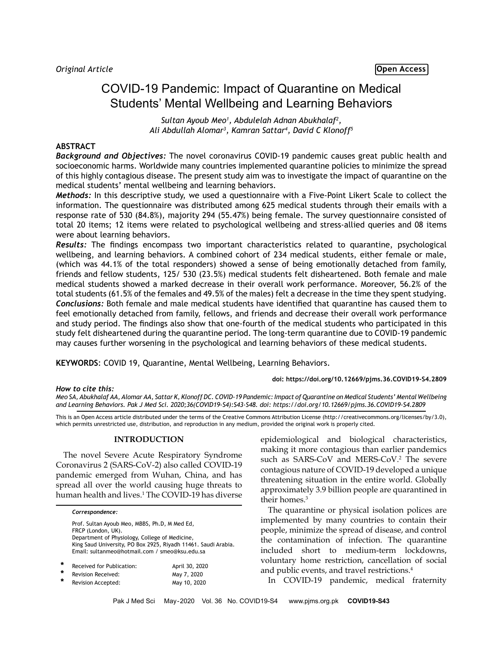# COVID-19 Pandemic: Impact of Quarantine on Medical Students' Mental Wellbeing and Learning Behaviors

*Sultan Ayoub Meo1 , Abdulelah Adnan Abukhalaf2 , Ali Abdullah Alomar3 , Kamran Sattar4 , David C Klonoff5*

## **ABSTRACT**

*Background and Objectives:* The novel coronavirus COVID-19 pandemic causes great public health and socioeconomic harms. Worldwide many countries implemented quarantine policies to minimize the spread of this highly contagious disease. The present study aim was to investigate the impact of quarantine on the medical students' mental wellbeing and learning behaviors.

*Methods:* In this descriptive study, we used a questionnaire with a Five-Point Likert Scale to collect the information. The questionnaire was distributed among 625 medical students through their emails with a response rate of 530 (84.8%), majority 294 (55.47%) being female. The survey questionnaire consisted of total 20 items; 12 items were related to psychological wellbeing and stress-allied queries and 08 items were about learning behaviors.

*Results:* The findings encompass two important characteristics related to quarantine, psychological wellbeing, and learning behaviors. A combined cohort of 234 medical students, either female or male, (which was 44.1% of the total responders) showed a sense of being emotionally detached from family, friends and fellow students, 125/ 530 (23.5%) medical students felt disheartened. Both female and male medical students showed a marked decrease in their overall work performance. Moreover, 56.2% of the total students (61.5% of the females and 49.5% of the males) felt a decrease in the time they spent studying. *Conclusions:* Both female and male medical students have identified that quarantine has caused them to feel emotionally detached from family, fellows, and friends and decrease their overall work performance and study period. The findings also show that one-fourth of the medical students who participated in this study felt disheartened during the quarantine period. The long-term quarantine due to COVID-19 pandemic may causes further worsening in the psychological and learning behaviors of these medical students.

**KEYWORDS**: COVID 19, Quarantine, Mental Wellbeing, Learning Behaviors.

## *How to cite this:*

**doi: https://doi.org/10.12669/pjms.36.COVID19-S4.2809**

*Meo SA, Abukhalaf AA, Alomar AA, Sattar K, Klonoff DC. COVID-19 Pandemic: Impact of Quarantine on Medical Students' Mental Wellbeing and Learning Behaviors. Pak J Med Sci. 2020;36(COVID19-S4):S43-S48. doi: https://doi.org/10.12669/pjms.36.COVID19-S4.2809*

This is an Open Access article distributed under the terms of the Creative Commons Attribution License (http://creativecommons.org/licenses/by/3.0), which permits unrestricted use, distribution, and reproduction in any medium, provided the original work is properly cited.

## **INTRODUCTION**

The novel Severe Acute Respiratory Syndrome Coronavirus 2 (SARS-CoV-2) also called COVID-19 pandemic emerged from Wuhan, China, and has spread all over the world causing huge threats to human health and lives.1 The COVID-19 has diverse

|   | Correspondence:                                                                                                                                                         |                                                                |
|---|-------------------------------------------------------------------------------------------------------------------------------------------------------------------------|----------------------------------------------------------------|
|   | Prof. Sultan Ayoub Meo, MBBS, Ph.D, M Med Ed,<br>FRCP (London, UK).<br>Department of Physiology, College of Medicine,<br>Email: sultanmeo@hotmail.com / smeo@ksu.edu.sa | King Saud University, PO Box 2925, Riyadh 11461. Saudi Arabia. |
| ÷ | Received for Publication:                                                                                                                                               | April 30, 2020                                                 |

Revision Received: May 7, 2020 Revision Accepted: May 10, 2020 epidemiological and biological characteristics, making it more contagious than earlier pandemics such as SARS-CoV and MERS-CoV.2 The severe contagious nature of COVID-19 developed a unique threatening situation in the entire world. Globally approximately 3.9 billion people are quarantined in their homes.<sup>3</sup>

The quarantine or physical isolation polices are implemented by many countries to contain their people, minimize the spread of disease, and control the contamination of infection. The quarantine included short to medium-term lockdowns, voluntary home restriction, cancellation of social and public events, and travel restrictions.4

In COVID-19 pandemic, medical fraternity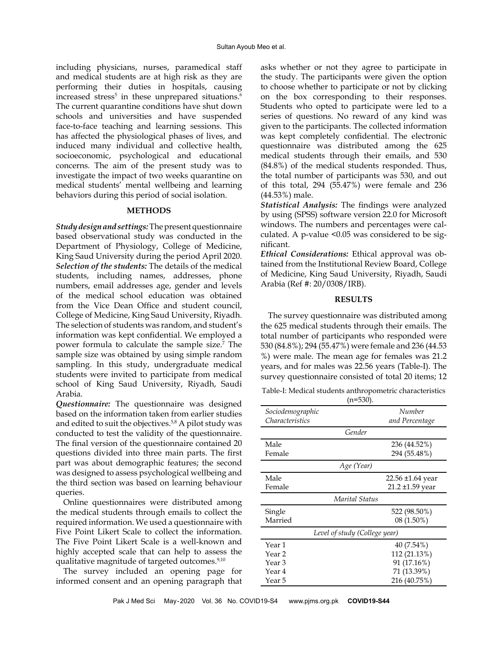including physicians, nurses, paramedical staff and medical students are at high risk as they are performing their duties in hospitals, causing increased stress<sup>5</sup> in these unprepared situations.<sup>6</sup> The current quarantine conditions have shut down schools and universities and have suspended face-to-face teaching and learning sessions. This has affected the physiological phases of lives, and induced many individual and collective health, socioeconomic, psychological and educational concerns. The aim of the present study was to investigate the impact of two weeks quarantine on medical students' mental wellbeing and learning behaviors during this period of social isolation.

## **METHODS**

*Study design and settings:* The present questionnaire based observational study was conducted in the Department of Physiology, College of Medicine, King Saud University during the period April 2020. *Selection of the students:* The details of the medical students, including names, addresses, phone numbers, email addresses age, gender and levels of the medical school education was obtained from the Vice Dean Office and student council, College of Medicine, King Saud University, Riyadh. The selection of students was random, and student's information was kept confidential. We employed a power formula to calculate the sample size.7 The sample size was obtained by using simple random sampling. In this study, undergraduate medical students were invited to participate from medical school of King Saud University, Riyadh, Saudi Arabia.

*Questionnaire:* The questionnaire was designed based on the information taken from earlier studies and edited to suit the objectives.<sup>5,8</sup> A pilot study was conducted to test the validity of the questionnaire. The final version of the questionnaire contained 20 questions divided into three main parts. The first part was about demographic features; the second was designed to assess psychological wellbeing and the third section was based on learning behaviour queries.

Online questionnaires were distributed among the medical students through emails to collect the required information. We used a questionnaire with Five Point Likert Scale to collect the information. The Five Point Likert Scale is a well-known and highly accepted scale that can help to assess the qualitative magnitude of targeted outcomes.<sup>9,10</sup>

The survey included an opening page for informed consent and an opening paragraph that

asks whether or not they agree to participate in the study. The participants were given the option to choose whether to participate or not by clicking on the box corresponding to their responses. Students who opted to participate were led to a series of questions. No reward of any kind was given to the participants. The collected information was kept completely confidential. The electronic questionnaire was distributed among the 625 medical students through their emails, and 530 (84.8%) of the medical students responded. Thus, the total number of participants was 530, and out of this total, 294 (55.47%) were female and 236 (44.53%) male.

*Statistical Analysis:* The findings were analyzed by using (SPSS) software version 22.0 for Microsoft windows. The numbers and percentages were calculated. A p-value <0.05 was considered to be significant.

*Ethical Considerations:* Ethical approval was obtained from the Institutional Review Board, College of Medicine, King Saud University, Riyadh, Saudi Arabia (Ref #: 20/0308/IRB).

## **RESULTS**

The survey questionnaire was distributed among the 625 medical students through their emails. The total number of participants who responded were 530 (84.8%); 294 (55.47%) were female and 236 (44.53 %) were male. The mean age for females was 21.2 years, and for males was 22.56 years (Table-I). The survey questionnaire consisted of total 20 items; 12

Table-I: Medical students anthropometric characteristics  $(n=530)$ 

|                                            | -- <i>-</i> ,.           |  |  |  |  |  |
|--------------------------------------------|--------------------------|--|--|--|--|--|
| Sociodemographic<br><i>Characteristics</i> | Number<br>and Percentage |  |  |  |  |  |
| Gender                                     |                          |  |  |  |  |  |
| Male                                       | 236 (44.52%)             |  |  |  |  |  |
| Female                                     | 294 (55.48%)             |  |  |  |  |  |
| Age (Year)                                 |                          |  |  |  |  |  |
| Male                                       | 22.56 ±1.64 year         |  |  |  |  |  |
| Female                                     | 21.2 ±1.59 year          |  |  |  |  |  |
| Marital Status                             |                          |  |  |  |  |  |
| Single                                     | 522 (98.50%)             |  |  |  |  |  |
| Married                                    | $08(1.50\%)$             |  |  |  |  |  |
| Level of study (College year)              |                          |  |  |  |  |  |
| Year 1                                     | 40 (7.54%)               |  |  |  |  |  |
| Year 2                                     | 112 (21.13%)             |  |  |  |  |  |
| Year 3                                     | 91 (17.16%)              |  |  |  |  |  |
| Year 4                                     | 71 (13.39%)              |  |  |  |  |  |
| Year 5                                     | 216 (40.75%)             |  |  |  |  |  |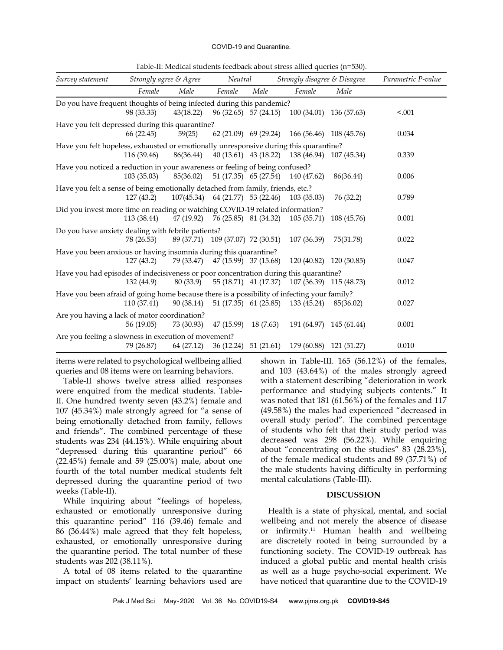#### COVID-19 and Quarantine.

| Table-II: Medical students feedback about stress allied queries (n=530). |  |
|--------------------------------------------------------------------------|--|
|--------------------------------------------------------------------------|--|

| Survey statement                                                                            | Strongly agree & Agree |            | Neutral                            |      | Strongly disagree & Disagree                  |                         | Parametric P-value |
|---------------------------------------------------------------------------------------------|------------------------|------------|------------------------------------|------|-----------------------------------------------|-------------------------|--------------------|
|                                                                                             | Female                 | Male       | Female                             | Male | Female                                        | Male                    |                    |
| Do you have frequent thoughts of being infected during this pandemic?                       | 98 (33.33)             | 43(18.22)  | 96 (32.65) 57 (24.15)              |      |                                               | 100 (34.01) 136 (57.63) | < .001             |
| Have you felt depressed during this quarantine?                                             | 66 (22.45)             | 59(25)     | $62(21.09)$ $69(29.24)$            |      | 166 (56.46) 108 (45.76)                       |                         | 0.034              |
| Have you felt hopeless, exhausted or emotionally unresponsive during this quarantine?       | 116 (39.46)            | 86(36.44)  |                                    |      | 40 (13.61) 43 (18.22) 138 (46.94) 107 (45.34) |                         | 0.339              |
| Have you noticed a reduction in your awareness or feeling of being confused?                | 103(35.03)             | 85(36.02)  |                                    |      | 51 (17.35) 65 (27.54) 140 (47.62)             | 86(36.44)               | 0.006              |
| Have you felt a sense of being emotionally detached from family, friends, etc.?             | 127(43.2)              |            | $107(45.34)$ 64 (21.77) 53 (22.46) |      | 103 (35.03)                                   | 76 (32.2)               | 0.789              |
| Did you invest more time on reading or watching COVID-19 related information?               | 113 (38.44)            |            | 47 (19.92) 76 (25.85) 81 (34.32)   |      | 105(35.71)                                    | 108 (45.76)             | 0.001              |
| Do you have anxiety dealing with febrile patients?                                          | 78 (26.53)             |            | 89 (37.71) 109 (37.07) 72 (30.51)  |      | 107 (36.39)                                   | 75(31.78)               | 0.022              |
| Have you been anxious or having insomnia during this quarantine?                            | 127(43.2)              |            | 79 (33.47) 47 (15.99) 37 (15.68)   |      |                                               | 120 (40.82) 120 (50.85) | 0.047              |
| Have you had episodes of indecisiveness or poor concentration during this quarantine?       | 132 (44.9)             | 80 (33.9)  | 55 (18.71) 41 (17.37)              |      |                                               | 107 (36.39) 115 (48.73) | 0.012              |
| Have you been afraid of going home because there is a possibility of infecting your family? | 110 (37.41)            | 90 (38.14) | 51 (17.35) 61 (25.85)              |      | 133 (45.24)                                   | 85(36.02)               | 0.027              |
| Are you having a lack of motor coordination?                                                | 56 (19.05)             | 73 (30.93) | $47(15.99)$ 18 (7.63)              |      |                                               | 191 (64.97) 145 (61.44) | 0.001              |
| Are you feeling a slowness in execution of movement?                                        | 79 (26.87)             | 64 (27.12) |                                    |      | 36 (12.24) 51 (21.61) 179 (60.88) 121 (51.27) |                         | 0.010              |

items were related to psychological wellbeing allied queries and 08 items were on learning behaviors.

Table-II shows twelve stress allied responses were enquired from the medical students. Table-II. One hundred twenty seven (43.2%) female and 107 (45.34%) male strongly agreed for "a sense of being emotionally detached from family, fellows and friends". The combined percentage of these students was 234 (44.15%). While enquiring about "depressed during this quarantine period" 66 (22.45%) female and 59 (25.00%) male, about one fourth of the total number medical students felt depressed during the quarantine period of two weeks (Table-II).

While inquiring about "feelings of hopeless, exhausted or emotionally unresponsive during this quarantine period" 116 (39.46) female and 86 (36.44%) male agreed that they felt hopeless, exhausted, or emotionally unresponsive during the quarantine period. The total number of these students was 202 (38.11%).

A total of 08 items related to the quarantine impact on students' learning behaviors used are shown in Table-III. 165 (56.12%) of the females, and 103 (43.64%) of the males strongly agreed with a statement describing "deterioration in work performance and studying subjects contents." It was noted that 181 (61.56%) of the females and 117 (49.58%) the males had experienced "decreased in overall study period". The combined percentage of students who felt that their study period was decreased was 298 (56.22%). While enquiring about "concentrating on the studies" 83 (28.23%), of the female medical students and 89 (37.71%) of the male students having difficulty in performing mental calculations (Table-III).

### **DISCUSSION**

Health is a state of physical, mental, and social wellbeing and not merely the absence of disease or infirmity.<sup>11</sup> Human health and wellbeing are discretely rooted in being surrounded by a functioning society. The COVID-19 outbreak has induced a global public and mental health crisis as well as a huge psycho-social experiment. We have noticed that quarantine due to the COVID-19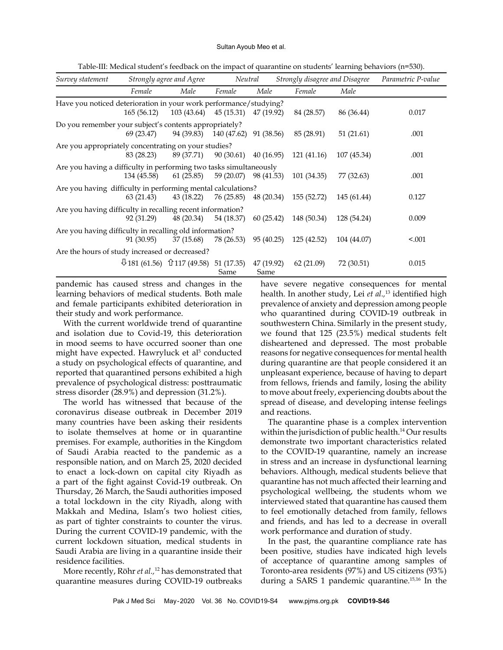#### Sultan Ayoub Meo et al.

Table-III: Medical student's feedback on the impact of quarantine on students' learning behaviors (n=530).

| Survey statement                                                   | Strongly agree and Agree |                                                       | Neutral                 |                    | Strongly disagree and Disagree |             | Parametric P-value |
|--------------------------------------------------------------------|--------------------------|-------------------------------------------------------|-------------------------|--------------------|--------------------------------|-------------|--------------------|
|                                                                    | Female                   | Male                                                  | Female                  | Male               | Female                         | Male        |                    |
| Have you noticed deterioration in your work performance/studying?  | 165(56.12)               | $103(43.64)$ $45(15.31)$ $47(19.92)$                  |                         |                    | 84 (28.57)                     | 86 (36.44)  | 0.017              |
| Do you remember your subject's contents appropriately?             | 69 (23.47)               | 94 (39.83)                                            | 140 (47.62)             | 91 (38.56)         | 85 (28.91)                     | 51(21.61)   | .001               |
| Are you appropriately concentrating on your studies?               | 83 (28.23)               | 89 (37.71)                                            | $90(30.61)$ $40(16.95)$ |                    | 121 (41.16)                    | 107 (45.34) | .001               |
| Are you having a difficulty in performing two tasks simultaneously | 134 (45.58)              | 61(25.85)                                             | 59 (20.07) 98 (41.53)   |                    | 101 (34.35)                    | 77 (32.63)  | .001               |
| Are you having difficulty in performing mental calculations?       | 63(21.43)                | 43 (18.22)                                            | 76 (25.85)              | 48 (20.34)         | 155 (52.72)                    | 145 (61.44) | 0.127              |
| Are you having difficulty in recalling recent information?         | 92 (31.29)               | 48 (20.34)                                            | 54 (18.37)              | 60(25.42)          | 148 (50.34)                    | 128 (54.24) | 0.009              |
| Are you having difficulty in recalling old information?            | 91 (30.95)               | 37 (15.68)                                            | 78 (26.53)              | 95 (40.25)         | 125 (42.52)                    | 104 (44.07) | < 0.001            |
| Are the hours of study increased or decreased?                     |                          |                                                       |                         |                    |                                |             |                    |
|                                                                    |                          | $\sqrt{181}$ (61.56) $\hat{U}$ 117 (49.58) 51 (17.35) | Same                    | 47 (19.92)<br>Same | 62 (21.09)                     | 72 (30.51)  | 0.015              |

pandemic has caused stress and changes in the learning behaviors of medical students. Both male and female participants exhibited deterioration in their study and work performance.

With the current worldwide trend of quarantine and isolation due to Covid-19, this deterioration in mood seems to have occurred sooner than one might have expected. Hawryluck et al<sup>5</sup> conducted a study on psychological effects of quarantine, and reported that quarantined persons exhibited a high prevalence of psychological distress: posttraumatic stress disorder (28.9%) and depression (31.2%).

The world has witnessed that because of the coronavirus disease outbreak in December 2019 many countries have been asking their residents to isolate themselves at home or in quarantine premises. For example, authorities in the Kingdom of Saudi Arabia reacted to the pandemic as a responsible nation, and on March 25, 2020 decided to enact a lock-down on capital city Riyadh as a part of the fight against Covid-19 outbreak. On Thursday, 26 March, the Saudi authorities imposed a total lockdown in the city Riyadh, along with Makkah and Medina, Islam's two holiest cities, as part of tighter constraints to counter the virus. During the current COVID-19 pandemic, with the current lockdown situation, medical students in Saudi Arabia are living in a quarantine inside their residence facilities.

More recently, Röhr *et al.,*12 has demonstrated that quarantine measures during COVID-19 outbreaks

have severe negative consequences for mental health. In another study, Lei *et al.,*<sup>13</sup> identified high prevalence of anxiety and depression among people who quarantined during COVID-19 outbreak in southwestern China. Similarly in the present study, we found that 125 (23.5%) medical students felt disheartened and depressed. The most probable reasons for negative consequences for mental health during quarantine are that people considered it an unpleasant experience, because of having to depart from fellows, friends and family, losing the ability to move about freely, experiencing doubts about the spread of disease, and developing intense feelings and reactions.

The quarantine phase is a complex intervention within the jurisdiction of public health.<sup>14</sup> Our results demonstrate two important characteristics related to the COVID-19 quarantine, namely an increase in stress and an increase in dysfunctional learning behaviors. Although, medical students believe that quarantine has not much affected their learning and psychological wellbeing, the students whom we interviewed stated that quarantine has caused them to feel emotionally detached from family, fellows and friends, and has led to a decrease in overall work performance and duration of study.

In the past, the quarantine compliance rate has been positive, studies have indicated high levels of acceptance of quarantine among samples of Toronto-area residents (97%) and US citizens (93%) during a SARS 1 pandemic quarantine.15,16 In the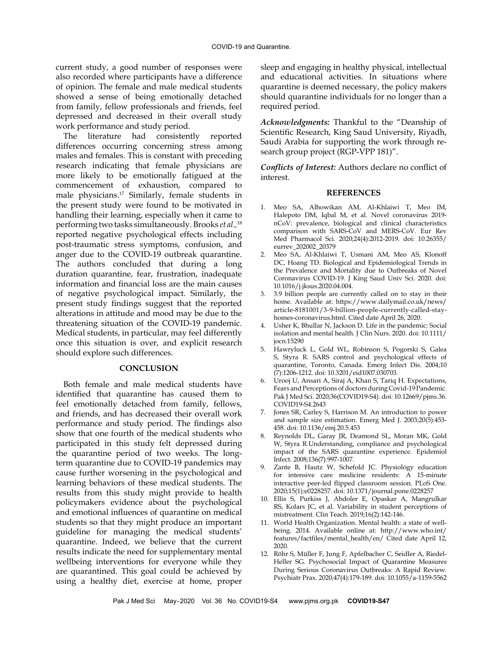current study, a good number of responses were also recorded where participants have a difference of opinion. The female and male medical students showed a sense of being emotionally detached from family, fellow professionals and friends, feel depressed and decreased in their overall study work performance and study period.

The literature had consistently reported differences occurring concerning stress among males and females. This is constant with preceding research indicating that female physicians are more likely to be emotionally fatigued at the commencement of exhaustion, compared to male physicians.17 Similarly, female students in the present study were found to be motivated in handling their learning, especially when it came to performing two tasks simultaneously. Brooks *et al.,*<sup>18</sup> reported negative psychological effects including post-traumatic stress symptoms, confusion, and anger due to the COVID-19 outbreak quarantine. The authors concluded that during a long duration quarantine, fear, frustration, inadequate information and financial loss are the main causes of negative psychological impact. Similarly, the present study findings suggest that the reported alterations in attitude and mood may be due to the threatening situation of the COVID-19 pandemic. Medical students, in particular, may feel differently once this situation is over, and explicit research should explore such differences.

## **CONCLUSION**

Both female and male medical students have identified that quarantine has caused them to feel emotionally detached from family, fellows, and friends, and has decreased their overall work performance and study period. The findings also show that one fourth of the medical students who participated in this study felt depressed during the quarantine period of two weeks. The longterm quarantine due to COVID-19 pandemics may cause further worsening in the psychological and learning behaviors of these medical students. The results from this study might provide to health policymakers evidence about the psychological and emotional influences of quarantine on medical students so that they might produce an important guideline for managing the medical students' quarantine. Indeed, we believe that the current results indicate the need for supplementary mental wellbeing interventions for everyone while they are quarantined. This goal could be achieved by using a healthy diet, exercise at home, proper

sleep and engaging in healthy physical, intellectual and educational activities. In situations where quarantine is deemed necessary, the policy makers should quarantine individuals for no longer than a required period.

*Acknowledgments:* Thankful to the "Deanship of Scientific Research, King Saud University, Riyadh, Saudi Arabia for supporting the work through research group project (RGP-VPP 181)".

*Conflicts of Interest:* Authors declare no conflict of interest.

## **REFERENCES**

- 1. [Meo SA](https://www.ncbi.nlm.nih.gov/pubmed/?term=Meo%20SA%5BAuthor%5D&cauthor=true&cauthor_uid=32141570), [Alhowikan AM,](https://www.ncbi.nlm.nih.gov/pubmed/?term=Alhowikan%20AM%5BAuthor%5D&cauthor=true&cauthor_uid=32141570) [Al-Khlaiwi T,](https://www.ncbi.nlm.nih.gov/pubmed/?term=Al-Khlaiwi%20T%5BAuthor%5D&cauthor=true&cauthor_uid=32141570) [Meo IM,](https://www.ncbi.nlm.nih.gov/pubmed/?term=Meo%20IM%5BAuthor%5D&cauthor=true&cauthor_uid=32141570) [Halepoto DM,](https://www.ncbi.nlm.nih.gov/pubmed/?term=Halepoto%20DM%5BAuthor%5D&cauthor=true&cauthor_uid=32141570) [Iqbal M](https://www.ncbi.nlm.nih.gov/pubmed/?term=Iqbal%20M%5BAuthor%5D&cauthor=true&cauthor_uid=32141570), et al. Novel coronavirus 2019 nCoV: prevalence, biological and clinical characteristics comparison with SARS-CoV and MERS-CoV. [Eur Rev](https://www.ncbi.nlm.nih.gov/pubmed/32141570)  [Med Pharmacol Sci.](https://www.ncbi.nlm.nih.gov/pubmed/32141570) 2020;24(4):2012-2019. doi: 10.26355/ eurrev\_202002\_20379
- 2. [Meo SA](https://www.ncbi.nlm.nih.gov/pubmed/?term=Meo%20SA%5BAuthor%5D&cauthor=true&cauthor_uid=32292261), [Al-Khlaiwi T,](https://www.ncbi.nlm.nih.gov/pubmed/?term=Al-Khlaiwi%20T%5BAuthor%5D&cauthor=true&cauthor_uid=32292261) [Usmani AM,](https://www.ncbi.nlm.nih.gov/pubmed/?term=Usmani%20AM%5BAuthor%5D&cauthor=true&cauthor_uid=32292261) [Meo AS](https://www.ncbi.nlm.nih.gov/pubmed/?term=Meo%20AS%5BAuthor%5D&cauthor=true&cauthor_uid=32292261), [Klonoff](https://www.ncbi.nlm.nih.gov/pubmed/?term=Klonoff%20DC%5BAuthor%5D&cauthor=true&cauthor_uid=32292261)  [DC](https://www.ncbi.nlm.nih.gov/pubmed/?term=Klonoff%20DC%5BAuthor%5D&cauthor=true&cauthor_uid=32292261), [Hoang TD.](https://www.ncbi.nlm.nih.gov/pubmed/?term=Hoang%20TD%5BAuthor%5D&cauthor=true&cauthor_uid=32292261) Biological and Epidemiological Trends in the Prevalence and Mortality due to Outbreaks of Novel Coronavirus COVID-19. [J King Saud Univ Sci.](https://www.ncbi.nlm.nih.gov/pubmed/32292261) 2020. doi: 10.1016/j.jksus.2020.04.004.
- 3. 3.9 billion people are currently called on to stay in their home. Available at: [https://www.dailymail.co.uk/news/](https://www.dailymail.co.uk/news/article-8181001/3-9-billion-people-currently-called-stay-homes-coronavirus.html) [article-8181001/3-9-billion-people-currently-called-stay](https://www.dailymail.co.uk/news/article-8181001/3-9-billion-people-currently-called-stay-homes-coronavirus.html)[homes-coronavirus.html](https://www.dailymail.co.uk/news/article-8181001/3-9-billion-people-currently-called-stay-homes-coronavirus.html). Cited date April 26, 2020.
- 4. [Usher K,](https://www.ncbi.nlm.nih.gov/pubmed/?term=Usher%20K%5BAuthor%5D&cauthor=true&cauthor_uid=32250493) [Bhullar N,](https://www.ncbi.nlm.nih.gov/pubmed/?term=Bhullar%20N%5BAuthor%5D&cauthor=true&cauthor_uid=32250493) [Jackson D](https://www.ncbi.nlm.nih.gov/pubmed/?term=Jackson%20D%5BAuthor%5D&cauthor=true&cauthor_uid=32250493). Life in the pandemic: Social isolation and mental health. [J Clin Nurs.](https://www.ncbi.nlm.nih.gov/pubmed/32250493) 2020. doi: 10.1111/ jocn.15290
- 5. [Hawryluck L,](https://www.ncbi.nlm.nih.gov/pubmed/?term=Hawryluck%20L%5BAuthor%5D&cauthor=true&cauthor_uid=15324539) [Gold WL](https://www.ncbi.nlm.nih.gov/pubmed/?term=Gold%20WL%5BAuthor%5D&cauthor=true&cauthor_uid=15324539), [Robinson S,](https://www.ncbi.nlm.nih.gov/pubmed/?term=Robinson%20S%5BAuthor%5D&cauthor=true&cauthor_uid=15324539) [Pogorski S,](https://www.ncbi.nlm.nih.gov/pubmed/?term=Pogorski%20S%5BAuthor%5D&cauthor=true&cauthor_uid=15324539) [Galea](https://www.ncbi.nlm.nih.gov/pubmed/?term=Galea%20S%5BAuthor%5D&cauthor=true&cauthor_uid=15324539)  [S,](https://www.ncbi.nlm.nih.gov/pubmed/?term=Galea%20S%5BAuthor%5D&cauthor=true&cauthor_uid=15324539) [Styra R.](https://www.ncbi.nlm.nih.gov/pubmed/?term=Styra%20R%5BAuthor%5D&cauthor=true&cauthor_uid=15324539) SARS control and psychological effects of quarantine, Toronto, Canada. [Emerg Infect Dis.](https://www.ncbi.nlm.nih.gov/pubmed/15324539) 2004;10 (7):1206-1212. doi: [10.3201/eid1007.030703.](https://doi.org/10.3201/eid1007.030703)
- 6. Urooj U, Ansari A, Siraj A, Khan S, Tariq H. Expectations, Fears and Perceptions of doctors during Covid-19 Pandemic. Pak J Med Sci. 2020;36(COVID19-S4). doi: [10.12669/pjms.36.](https://doi.org/10.12669/pjms.36.COVID19-S4.2643) [COVID19-S4.2643](https://doi.org/10.12669/pjms.36.COVID19-S4.2643)
- 7. Jones SR, Carley S, Harrison M. [An introduction to power](https://www.ncbi.nlm.nih.gov/pubmed/12954688)  [and sample size estimation.](https://www.ncbi.nlm.nih.gov/pubmed/12954688) Emerg Med J. 2003;20(5):453- 458. doi: [10.1136/emj.20.5.453](https://doi.org/10.1136/emj.20.5.453)
- 8. [Reynolds DL](https://www.ncbi.nlm.nih.gov/pubmed/?term=Reynolds%20DL%5BAuthor%5D&cauthor=true&cauthor_uid=17662167), [Garay JR,](https://www.ncbi.nlm.nih.gov/pubmed/?term=Garay%20JR%5BAuthor%5D&cauthor=true&cauthor_uid=17662167) [Deamond SL](https://www.ncbi.nlm.nih.gov/pubmed/?term=Deamond%20SL%5BAuthor%5D&cauthor=true&cauthor_uid=17662167), [Moran MK,](https://www.ncbi.nlm.nih.gov/pubmed/?term=Moran%20MK%5BAuthor%5D&cauthor=true&cauthor_uid=17662167) [Gold](https://www.ncbi.nlm.nih.gov/pubmed/?term=Gold%20W%5BAuthor%5D&cauthor=true&cauthor_uid=17662167)  [W](https://www.ncbi.nlm.nih.gov/pubmed/?term=Gold%20W%5BAuthor%5D&cauthor=true&cauthor_uid=17662167), [Styra R.](https://www.ncbi.nlm.nih.gov/pubmed/?term=Styra%20R%5BAuthor%5D&cauthor=true&cauthor_uid=17662167)Understanding, compliance and psychological impact of the SARS quarantine experience. [Epidemiol](https://www.ncbi.nlm.nih.gov/pubmed/17662167)  [Infect.](https://www.ncbi.nlm.nih.gov/pubmed/17662167) 2008;136(7):997-1007.
- [Zante B,](https://www.ncbi.nlm.nih.gov/pubmed/?term=Zante%20B%5BAuthor%5D&cauthor=true&cauthor_uid=31978206) [Hautz W,](https://www.ncbi.nlm.nih.gov/pubmed/?term=Hautz%20WE%5BAuthor%5D&cauthor=true&cauthor_uid=31978206) [Schefold JC](https://www.ncbi.nlm.nih.gov/pubmed/?term=Schefold%20JC%5BAuthor%5D&cauthor=true&cauthor_uid=31978206). Physiology education for intensive care medicine residents: A 15-minute interactive peer-led flipped classroom session. [PLoS One.](https://www.ncbi.nlm.nih.gov/pubmed/31978206) 2020;15(1):e0228257. doi: 10.1371/journal.pone.0228257
- 10. [Ellis S,](https://www.ncbi.nlm.nih.gov/pubmed/?term=Ellis%20S%5BAuthor%5D&cauthor=true&cauthor_uid=29786958) [Purkiss J](https://www.ncbi.nlm.nih.gov/pubmed/?term=Purkiss%20J%5BAuthor%5D&cauthor=true&cauthor_uid=29786958), [Abdoler E,](https://www.ncbi.nlm.nih.gov/pubmed/?term=Abdoler%20E%5BAuthor%5D&cauthor=true&cauthor_uid=29786958) [Opaskar A](https://www.ncbi.nlm.nih.gov/pubmed/?term=Opaskar%20A%5BAuthor%5D&cauthor=true&cauthor_uid=29786958), [Mangrulkar](https://www.ncbi.nlm.nih.gov/pubmed/?term=Mangrulkar%20RS%5BAuthor%5D&cauthor=true&cauthor_uid=29786958)  [RS,](https://www.ncbi.nlm.nih.gov/pubmed/?term=Mangrulkar%20RS%5BAuthor%5D&cauthor=true&cauthor_uid=29786958) [Kolars JC](https://www.ncbi.nlm.nih.gov/pubmed/?term=Kolars%20JC%5BAuthor%5D&cauthor=true&cauthor_uid=29786958), et al. Variability in student perceptions of mistreatment. [Clin Teach.](https://www.ncbi.nlm.nih.gov/pubmed/29786958) 2019;16(2):142-146.
- 11. World Health Organization. Mental health: a state of wellbeing. 2014. Available online at: [http://www.who.int/](http://www.who.int/features/factfiles/mental_health/en/) [features/factfiles/mental\\_health/en/](http://www.who.int/features/factfiles/mental_health/en/) Cited date April 12, 2020.
- 12. [Röhr S](https://www.ncbi.nlm.nih.gov/pubmed/?term=R%C3%B6hr%20S%5BAuthor%5D&cauthor=true&cauthor_uid=32340047), [Müller F,](https://www.ncbi.nlm.nih.gov/pubmed/?term=M%C3%BCller%20F%5BAuthor%5D&cauthor=true&cauthor_uid=32340047) [Jung F,](https://www.ncbi.nlm.nih.gov/pubmed/?term=Jung%20F%5BAuthor%5D&cauthor=true&cauthor_uid=32340047) [Apfelbacher C,](https://www.ncbi.nlm.nih.gov/pubmed/?term=Apfelbacher%20C%5BAuthor%5D&cauthor=true&cauthor_uid=32340047) [Seidler A](https://www.ncbi.nlm.nih.gov/pubmed/?term=Seidler%20A%5BAuthor%5D&cauthor=true&cauthor_uid=32340047), [Riedel-](https://www.ncbi.nlm.nih.gov/pubmed/?term=Riedel-Heller%20SG%5BAuthor%5D&cauthor=true&cauthor_uid=32340047)[Heller SG.](https://www.ncbi.nlm.nih.gov/pubmed/?term=Riedel-Heller%20SG%5BAuthor%5D&cauthor=true&cauthor_uid=32340047) Psychosocial Impact of Quarantine Measures During Serious Coronavirus Outbreaks: A Rapid Review. [Psychiatr Prax.](https://www.ncbi.nlm.nih.gov/pubmed/32340047) 2020;47(4):179-189. doi: 10.1055/a-1159-5562